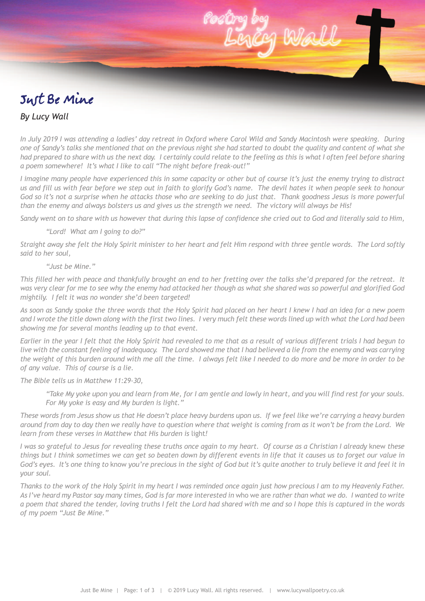

## *By Lucy Wall*

In July 2019 I was attending a ladies' day retreat in Oxford where Carol Wild and Sandy Macintosh were speaking. During one of Sandy's talks she mentioned that on the previous night she had started to doubt the quality and content of what she had prepared to share with us the next day. I certainly could relate to the feeling as this is what I often feel before sharing *a poem somewhere! It's what I like to call "The night before freak-out!"*

I imagine many people have experienced this in some capacity or other but of course it's just the enemy trying to distract us and fill us with fear before we step out in faith to glorify God's name. The devil hates it when people seek to honour God so it's not a surprise when he attacks those who are seeking to do just that. Thank goodness Jesus is more powerful than the enemy and always bolsters us and gives us the strength we need. The victory will always be His!

Sandy went on to share with us however that during this lapse of confidence she cried out to God and literally said to Him,

## *"Lord! What am I going to do?"*

Straight away she felt the Holy Spirit minister to her heart and felt Him respond with three gentle words. The Lord softly *said to her soul,*

## *"Just be Mine."*

This filled her with peace and thankfully brought an end to her fretting over the talks she'd prepared for the retreat. It was very clear for me to see why the enemy had attacked her though as what she shared was so powerful and glorified God *mightily. I felt it was no wonder she'd been targeted!*

As soon as Sandy spoke the three words that the Holy Spirit had placed on her heart I knew I had an idea for a new poem and I wrote the title down along with the first two lines. I very much felt these words lined up with what the Lord had been *showing me for several months leading up to that event.*

Earlier in the year I felt that the Holy Spirit had revealed to me that as a result of various different trials I had begun to live with the constant feeling of inadequacy. The Lord showed me that I had believed a lie from the enemy and was carrying the weight of this burden around with me all the time. I always felt like I needed to do more and be more in order to be *of any value. This of course is a lie.*

*The Bible tells us in Matthew 11:29-30,*

"Take My yoke upon you and learn from Me, for I am gentle and lowly in heart, and you will find rest for your souls. *For My yoke is easy and My burden is light."*

These words from Jesus show us that He doesn't place heavy burdens upon us. If we feel like we're carrying a heavy burden around from day to day then we really have to question where that weight is coming from as it won't be from the Lord. We *learn from these verses in Matthew that His burden is* light*!*

I was so grateful to Jesus for revealing these truths once again to my heart. Of course as a Christian I already knew these things but I think sometimes we can get so beaten down by different events in life that it causes us to forget our value in God's eyes. It's one thing to know you're precious in the sight of God but it's quite another to truly believe it and feel it in *your soul.*

Thanks to the work of the Holy Spirit in my heart I was reminded once again just how precious I am to my Heavenly Father. As I've heard my Pastor say many times, God is far more interested in who we are rather than what we do. I wanted to write a poem that shared the tender, loving truths I felt the Lord had shared with me and so I hope this is captured in the words *of my poem "Just Be Mine."*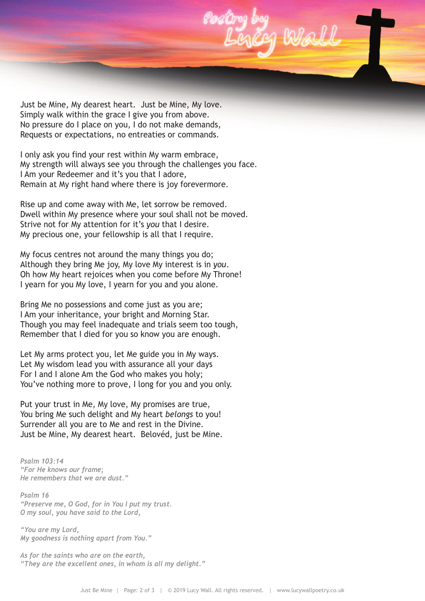

Just be Mine, My dearest heart. Just be Mine, My love. Simply walk within the grace I give you from above. No pressure do I place on you, I do not make demands, Requests or expectations, no entreaties or commands.

I only ask you find your rest within My warm embrace, My strength will always see you through the challenges you face. I Am your Redeemer and it's you that I adore, Remain at My right hand where there is joy forevermore.

Rise up and come away with Me, let sorrow be removed. Dwell within My presence where your soul shall not be moved. Strive not for My attention for it's *you* that I desire. My precious one, your fellowship is all that I require.

My focus centres not around the many things you do; Although they bring Me joy, My love My interest is in *you*. Oh how My heart rejoices when you come before My Throne! I yearn for you My love, I yearn for you and you alone.

Bring Me no possessions and come just as you are; I Am your inheritance, your bright and Morning Star. Though you may feel inadequate and trials seem too tough, Remember that I died for you so know you are enough.

Let My arms protect you, let Me guide you in My ways. Let My wisdom lead you with assurance all your days For I and I alone Am the God who makes you holy; You've nothing more to prove, I long for you and you only.

Put your trust in Me, My love, My promises are true, You bring Me such delight and My heart *belongs* to you! Surrender all you are to Me and rest in the Divine. Just be Mine, My dearest heart. Belovéd, just be Mine.

*Psalm 103:14 "For He knows our frame; He remembers that we are dust."*

*Psalm 16 "Preserve me, O God, for in You I put my trust. O my soul, you have said to the Lord,*

*"You are my Lord, My goodness is nothing apart from You."*

*As for the saints who are on the earth, "They are the excellent ones, in whom is all my delight."*